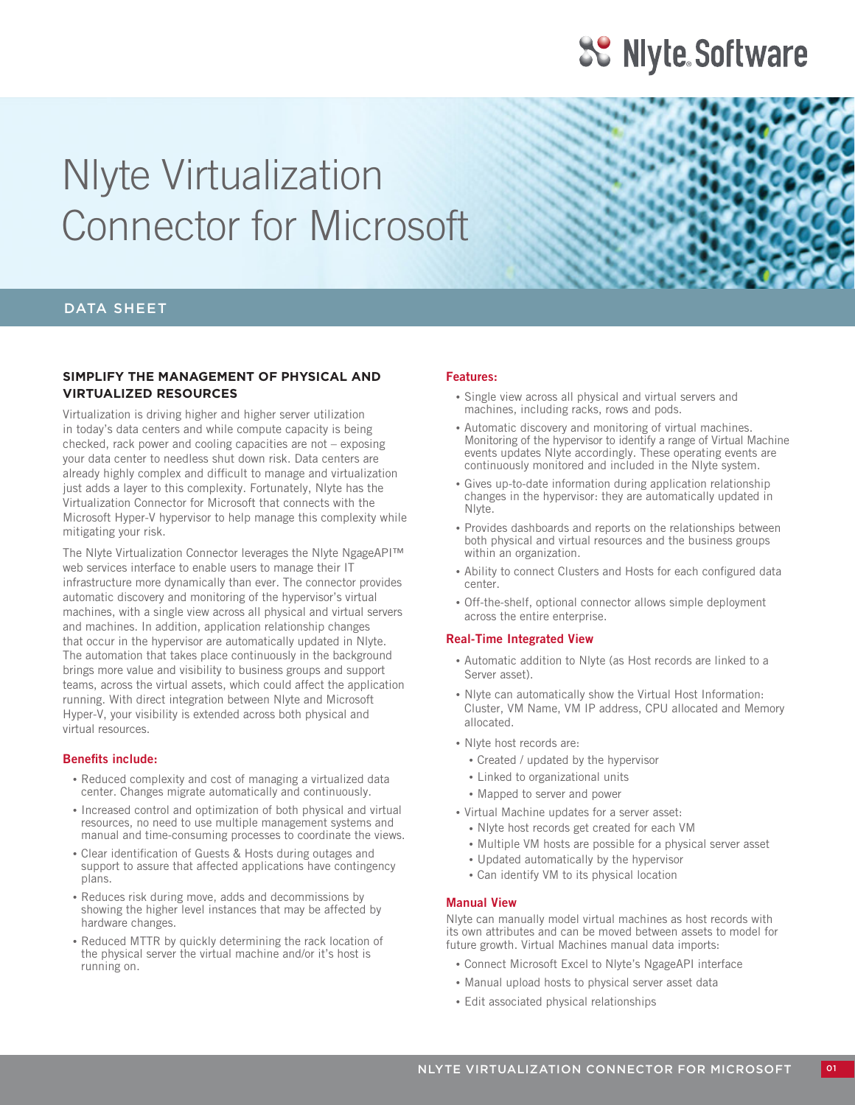## **3.** Niyte Software

# Nlyte Virtualization Connector for Microsoft

### DATA SHEET

### **SIMPLIFY THE MANAGEMENT OF PHYSICAL AND VIRTUALIZED RESOURCES**

Virtualization is driving higher and higher server utilization in today's data centers and while compute capacity is being checked, rack power and cooling capacities are not – exposing your data center to needless shut down risk. Data centers are already highly complex and difficult to manage and virtualization just adds a layer to this complexity. Fortunately, Nlyte has the Virtualization Connector for Microsoft that connects with the Microsoft Hyper-V hypervisor to help manage this complexity while mitigating your risk.

The Nlyte Virtualization Connector leverages the Nlyte NgageAPI™ web services interface to enable users to manage their IT infrastructure more dynamically than ever. The connector provides automatic discovery and monitoring of the hypervisor's virtual machines, with a single view across all physical and virtual servers and machines. In addition, application relationship changes that occur in the hypervisor are automatically updated in Nlyte. The automation that takes place continuously in the background brings more value and visibility to business groups and support teams, across the virtual assets, which could affect the application running. With direct integration between Nlyte and Microsoft Hyper-V, your visibility is extended across both physical and virtual resources.

### **Benefits include:**

- Reduced complexity and cost of managing a virtualized data center. Changes migrate automatically and continuously.
- Increased control and optimization of both physical and virtual resources, no need to use multiple management systems and manual and time-consuming processes to coordinate the views.
- Clear identification of Guests & Hosts during outages and support to assure that affected applications have contingency plans.
- • Reduces risk during move, adds and decommissions by showing the higher level instances that may be affected by hardware changes.
- Reduced MTTR by quickly determining the rack location of the physical server the virtual machine and/or it's host is running on.

### **Features:**

- • Single view across all physical and virtual servers and machines, including racks, rows and pods.
- Automatic discovery and monitoring of virtual machines. Monitoring of the hypervisor to identify a range of Virtual Machine events updates Nlyte accordingly. These operating events are continuously monitored and included in the Nlyte system.
- Gives up-to-date information during application relationship changes in the hypervisor: they are automatically updated in Nlyte.
- Provides dashboards and reports on the relationships between both physical and virtual resources and the business groups within an organization.
- Ability to connect Clusters and Hosts for each configured data center.
- Off-the-shelf, optional connector allows simple deployment across the entire enterprise.

### **Real-Time Integrated View**

- • Automatic addition to Nlyte (as Host records are linked to a Server asset).
- Niyte can automatically show the Virtual Host Information: Cluster, VM Name, VM IP address, CPU allocated and Memory allocated.
- • Nlyte host records are:
	- • Created / updated by the hypervisor
	- • Linked to organizational units
	- Mapped to server and power
- • Virtual Machine updates for a server asset:
	- • Nlyte host records get created for each VM
	- Multiple VM hosts are possible for a physical server asset
	- • Updated automatically by the hypervisor
	- • Can identify VM to its physical location

### **Manual View**

Nlyte can manually model virtual machines as host records with its own attributes and can be moved between assets to model for future growth. Virtual Machines manual data imports:

- Connect Microsoft Excel to Nlyte's NgageAPI interface
- Manual upload hosts to physical server asset data
- • Edit associated physical relationships